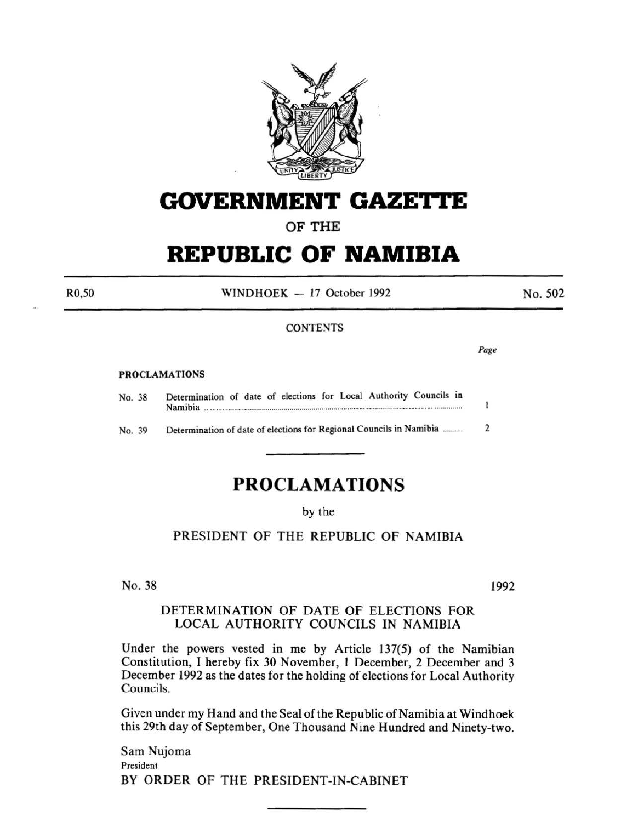

## **GOVERNMENT GAZETI'E**

OF THE

# **REPUBLIC OF NAMIBIA**

 $WINDHOEK - 17$  October 1992

No. 502

### **CONTENTS**

PROCLAMATIONS

No. 38 Determination of date of elections for Local Authority Councils in Namibia ................................................................................................................................. .

No. 39 Determination of date of elections for Regional Councils in Namibia .......... 2

### **PROCLAMATIONS**

### by the

PRESIDENT OF THE REPUBLIC OF NAMIBIA

No. 38

1992

### DETERMINATION OF DATE OF ELECTIONS FOR LOCAL AUTHORITY COUNCILS IN NAMIBIA

Under the powers vested in me by Article 137(5) of the Namibian Constitution, I hereby fix 30 November, 1 December, 2 December and 3 December 1992 as the dates for the holding of elections for Local Authority Councils.

Given under my Hand and the Seal of the Republic of Namibia at Windhoek this 29th day of September, One Thousand Nine Hundred and Ninety-two.

Sam Nujoma President BY ORDER OF THE PRESIDENT-IN-CABINET

R0,50

Page

1